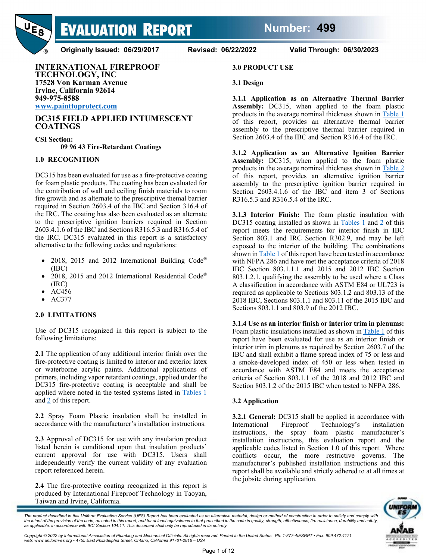**Number: 499**



**EVALUATION REPORT** 

**Originally Issued: 06/29/2017 Revised: 06/22/2022 Valid Through: 06/30/2023**

### **INTERNATIONAL FIREPROOF TECHNOLOGY, INC 17528 Von Karman Avenue Irvine, California 92614 949-975-8588**

**[www.painttoprotect.com](http://www.painttoprotect.com/)**

### **DC315 FIELD APPLIED INTUMESCENT COATINGS**

**CSI Section: 09 96 43 Fire-Retardant Coatings**

### **1.0 RECOGNITION**

DC315 has been evaluated for use as a fire-protective coating for foam plastic products. The coating has been evaluated for the contribution of wall and ceiling finish materials to room fire growth and as alternate to the prescriptive themal barrier required in Section 2603.4 of the IBC and Section 316.4 of the IRC. The coating has also been evaluated as an alternate to the prescriptive ignition barriers required in Section 2603.4.1.6 of the IBC and Sections R316.5.3 and R316.5.4 of the IRC. DC315 evaluated in this report is a satisfactory alternative to the following codes and regulations:

- 2018, 2015 and 2012 International Building Code® (IBC)
- 2018, 2015 and 2012 International Residential Code® (IRC)
- AC456
- AC377

## **2.0 LIMITATIONS**

Use of DC315 recognized in this report is subject to the following limitations:

**2.1** The application of any additional interior finish over the fire-protective coating is limited to interior and exterior latex or waterborne acrylic paints. Additional applications of primers, including vapor retardant coatings, applied under the DC315 fire-protective coating is acceptable and shall be applied where noted in the tested systems listed in [Tables 1](#page-2-0) an[d 2](#page-8-0) of this report.

**2.2** Spray Foam Plastic insulation shall be installed in accordance with the manufacturer's installation instructions.

**2.3** Approval of DC315 for use with any insulation product listed herein is conditional upon that insulation products' current approval for use with DC315. Users shall independently verify the current validity of any evaluation report referenced herein.

**2.4** The fire-protective coating recognized in this report is produced by International Fireproof Technology in Taoyan, Taiwan and Irvine, California.

#### **3.0 PRODUCT USE**

#### **3.1 Design**

**3.1.1 Application as an Alternative Thermal Barrier Assembly:** DC315, when applied to the foam plastic products in the average nominal thickness shown in [Table 1](#page-2-0) of this report, provides an alternative thermal barrier assembly to the prescriptive thermal barrier required in Section 2603.4 of the IBC and Section R316.4 of the IRC.

**3.1.2 Application as an Alternative Ignition Barrier Assembly:** DC315, when applied to the foam plastic products in the average nominal thickness shown in [Table 2](#page-8-0) of this report, provides an alternative ignition barrier assembly to the prescriptive ignition barrier required in Section 2603.4.1.6 of the IBC and item 3 of Sections R316.5.3 and R316.5.4 of the IRC.

**3.1.3 Interior Finish:** The foam plastic insulation with DC315 coating installed as shown in [Tables 1](#page-2-0) and [2](#page-8-0) of this report meets the requirements for interior finish in IBC Section 803.1 and IRC Section R302.9, and may be left exposed to the interior of the building. The combinations shown i[n Table 1](#page-2-0) of this report have been tested in accordance with NFPA 286 and have met the acceptance criteria of 2018 IBC Section 803.1.1.1 and 2015 and 2012 IBC Section 803.1.2.1, qualifying the assembly to be used where a Class A classification in accordance with ASTM E84 or UL723 is required as applicable to Sections 803.1.2 and 803.13 of the 2018 IBC, Sections 803.1.1 and 803.11 of the 2015 IBC and Sections 803.1.1 and 803.9 of the 2012 IBC.

**3.1.4 Use as an interior finish or interior trim in plenums:** Foam plastic insulations installed as shown in [Table 1](#page-2-0) of this report have been evaluated for use as an interior finish or interior trim in plenums as required by Section 2603.7 of the IBC and shall exhibit a flame spread index of 75 or less and a smoke-developed index of 450 or less when tested in accordance with ASTM E84 and meets the acceptance criteria of Section 803.1.1 of the 2018 and 2012 IBC and Section 803.1.2 of the 2015 IBC when tested to NFPA 286.

### **3.2 Application**

**3.2.1 General:** DC315 shall be applied in accordance with International Fireproof Technology's installation instructions, the spray foam plastic manufacturer's installation instructions, this evaluation report and the applicable codes listed in Section 1.0 of this report. Where conflicts occur, the more restrictive governs. The manufacturer's published installation instructions and this report shall be available and strictly adhered to at all times at the jobsite during application.



The product described in this Uniform Evaluation Service (UES) Report has been evaluated as an alternative material, design or method of construction in order to satisfy and comply with the intent of the provision of the code, as noted in this report, and for at least equivalence to that prescribed in the code in quality, strength, effectiveness, fire resistance, durability and safety,<br>as applicable, in a

*Copyright © 2022 by International Association of Plumbing and Mechanical Officials. All rights reserved. Printed in the United States. Ph: 1-877-4IESRPT • Fax: 909.472.4171 web: www.uniform-es.org • 4755 East Philadelphia Street, Ontario, California 91761-2816 – USA*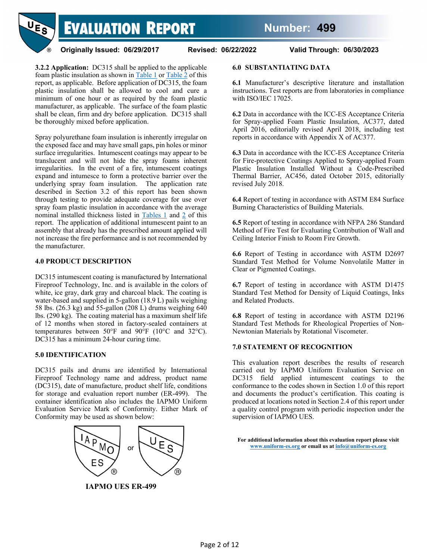

**3.2.2 Application:** DC315 shall be applied to the applicable foam plastic insulation as shown in  $Table 1$  or  $Table 2$  of this report, as applicable. Before application of DC315, the foam plastic insulation shall be allowed to cool and cure a minimum of one hour or as required by the foam plastic manufacturer, as applicable. The surface of the foam plastic shall be clean, firm and dry before application. DC315 shall be thoroughly mixed before application.

Spray polyurethane foam insulation is inherently irregular on the exposed face and may have small gaps, pin holes or minor surface irregularities. Intumescent coatings may appear to be translucent and will not hide the spray foams inherent irregularities. In the event of a fire, intumescent coatings expand and intumesce to form a protective barrier over the underlying spray foam insulation. The application rate described in Section 3.2 of this report has been shown through testing to provide adequate coverage for use over spray foam plastic insulation in accordance with the average nominal installed thickness listed in [Tables 1](#page-2-0) and [2](#page-8-0) of this report. The application of additional intumescent paint to an assembly that already has the prescribed amount applied will not increase the fire performance and is not recommended by the manufacturer.

#### **4.0 PRODUCT DESCRIPTION**

DC315 intumescent coating is manufactured by International Fireproof Technology, Inc. and is available in the colors of white, ice gray, dark gray and charcoal black. The coating is water-based and supplied in 5-gallon (18.9 L) pails weighing 58 lbs. (26.3 kg) and 55-gallon (208 L) drums weighing 640 lbs. (290 kg). The coating material has a maximum shelf life of 12 months when stored in factory-sealed containers at temperatures between  $50^{\circ}$ F and  $90^{\circ}$ F (10<sup>o</sup>C and 32<sup>o</sup>C). DC315 has a minimum 24-hour curing time.

#### **5.0 IDENTIFICATION**

DC315 pails and drums are identified by International Fireproof Technology name and address, product name (DC315), date of manufacture, product shelf life, conditions for storage and evaluation report number (ER-499). The container identification also includes the IAPMO Uniform Evaluation Service Mark of Conformity. Either Mark of Conformity may be used as shown below:



**IAPMO UES ER-499**

### **6.0 SUBSTANTIATING DATA**

**6.1** Manufacturer's descriptive literature and installation instructions. Test reports are from laboratories in compliance with ISO/IEC 17025.

**6.2** Data in accordance with the ICC-ES Acceptance Criteria for Spray-applied Foam Plastic Insulation, AC377, dated April 2016, editorially revised April 2018, including test reports in accordance with Appendix X of AC377.

**6.3** Data in accordance with the ICC-ES Acceptance Criteria for Fire-protective Coatings Applied to Spray-applied Foam Plastic Insulation Installed Without a Code-Prescribed Thermal Barrier, AC456, dated October 2015, editorially revised July 2018.

**6.4** Report of testing in accordance with ASTM E84 Surface Burning Characteristics of Building Materials.

**6.5** Report of testing in accordance with NFPA 286 Standard Method of Fire Test for Evaluating Contribution of Wall and Ceiling Interior Finish to Room Fire Growth.

**6.6** Report of Testing in accordance with ASTM D2697 Standard Test Method for Volume Nonvolatile Matter in Clear or Pigmented Coatings.

**6.7** Report of testing in accordance with ASTM D1475 Standard Test Method for Density of Liquid Coatings, Inks and Related Products.

**6.8** Report of testing in accordance with ASTM D2196 Standard Test Methods for Rheological Properties of Non-Newtonian Materials by Rotational Viscometer.

#### **7.0 STATEMENT OF RECOGNITION**

This evaluation report describes the results of research carried out by IAPMO Uniform Evaluation Service on DC315 field applied intumescent coatings to the conformance to the codes shown in Section 1.0 of this report and documents the product's certification. This coating is produced at locations noted in Section 2.4 of this report under a quality control program with periodic inspection under the supervision of IAPMO UES.

**For additional information about this evaluation report please visit [www.uniform-es.org](http://www.uniform-es.org/) or email us a[t info@uniform-es.org](mailto:info@uniform-es.org)**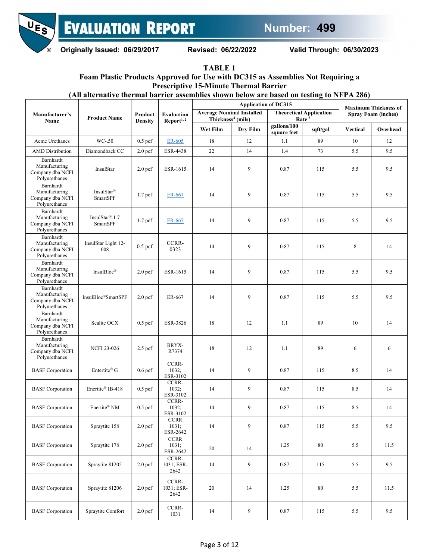

<span id="page-2-0"></span>**Originally Issued: 06/29/2017 Revised: 06/22/2022 Valid Through: 06/30/2023**

**TABLE 1**

## **Foam Plastic Products Approved for Use with DC315 as Assemblies Not Requiring a Prescriptive 15-Minute Thermal Barrier**

**(All alternative thermal barrier assemblies shown below are based on testing to NFPA 286)**

|                                                                 | <b>Product Name</b>                | Product<br><b>Density</b> | <b>Evaluation</b><br>Report <sup>1, 2</sup> |                                                                   | <b>Application of DC315</b> |                            | <b>Maximum Thickness of</b>                         |                            |          |
|-----------------------------------------------------------------|------------------------------------|---------------------------|---------------------------------------------|-------------------------------------------------------------------|-----------------------------|----------------------------|-----------------------------------------------------|----------------------------|----------|
| Manufacturer's<br>Name                                          |                                    |                           |                                             | <b>Average Nominal Installed</b><br>Thickness <sup>4</sup> (mils) |                             |                            | <b>Theoretical Application</b><br>Rate <sup>3</sup> | <b>Spray Foam (inches)</b> |          |
|                                                                 |                                    |                           |                                             | Wet Film                                                          | Dry Film                    | gallons/100<br>square feet | sqft/gal                                            | <b>Vertical</b>            | Overhead |
| Acme Urethanes                                                  | WC-.50                             | $0.5$ pcf                 | ER-605                                      | 18                                                                | 12                          | 1.1                        | 89                                                  | 10                         | 12       |
| <b>AMD</b> Distribution                                         | Diamondback CC                     | 2.0 <sub>pcf</sub>        | <b>ESR-4438</b>                             | 22                                                                | 14                          | 1.4                        | 73                                                  | 5.5                        | 9.5      |
| Barnhardt<br>Manufacturing<br>Company dba NCFI<br>Polyurethanes | InsulStar                          | 2.0 <sub>pcf</sub>        | ESR-1615                                    | 14                                                                | 9                           | 0.87                       | 115                                                 | 5.5                        | 9.5      |
| Barnhardt<br>Manufacturing<br>Company dba NCFI<br>Polyurethanes | InsulStar <sup>®</sup><br>SmartSPF | 1.7 <sub>pcf</sub>        | ER-667                                      | 14                                                                | 9                           | 0.87                       | 115                                                 | 5.5                        | 9.5      |
| Barnhardt<br>Manufacturing<br>Company dba NCFI<br>Polyurethanes | InsulStar® 1.7<br>SmartSPF         | 1.7 <sub>pcf</sub>        | ER-667                                      | 14                                                                | 9                           | 0.87                       | 115                                                 | 5.5                        | 9.5      |
| Barnhardt<br>Manufacturing<br>Company dba NCFI<br>Polyurethanes | InsulStar Light 12-<br>008         | $0.5$ pcf                 | CCRR-<br>0323                               | 14                                                                | 9                           | 0.87                       | 115                                                 | 8                          | 14       |
| Barnhardt<br>Manufacturing<br>Company dba NCFI<br>Polyurethanes | InsulBloc®                         | 2.0 <sub>pcf</sub>        | ESR-1615                                    | 14                                                                | 9                           | 0.87                       | 115                                                 | 5.5                        | 9.5      |
| Barnhardt<br>Manufacturing<br>Company dba NCFI<br>Polyurethanes | InsulBloc®SmartSPF                 | 2.0 <sub>pcf</sub>        | ER-667                                      | 14                                                                | 9                           | 0.87                       | 115                                                 | 5.5                        | 9.5      |
| Barnhardt<br>Manufacturing<br>Company dba NCFI<br>Polyurethanes | Sealite OCX                        | $0.5$ pcf                 | ESR-3826                                    | 18                                                                | 12                          | 1.1                        | 89                                                  | 10                         | 14       |
| Barnhardt<br>Manufacturing<br>Company dba NCFI<br>Polyurethanes | <b>NCFI 23-026</b>                 | $2.5$ pcf                 | BRYX-<br>R7374                              | 18                                                                | 12                          | 1.1                        | 89                                                  | 6                          | 6        |
| <b>BASF</b> Corporation                                         | Entertite® G                       | $0.6$ pcf                 | CCRR-<br>1032,<br>ESR-3102                  | 14                                                                | 9                           | 0.87                       | 115                                                 | 8.5                        | 14       |
| <b>BASF</b> Corporation                                         | Enertite® IB-418                   | $0.5$ pcf                 | CCRR-<br>1032;<br>ESR-3102                  | 14                                                                | 9                           | 0.87                       | 115                                                 | 8.5                        | 14       |
| <b>BASF</b> Corporation                                         | Enertite® NM                       | $0.5$ pcf                 | CCRR-<br>1032;<br>ESR-3102                  | 14                                                                | 9                           | 0.87                       | 115                                                 | 8.5                        | 14       |
| <b>BASF</b> Corporation                                         | Spraytite 158                      | 2.0 <sub>pcf</sub>        | <b>CCRR</b><br>1031;<br>ESR-2642            | 14                                                                | 9                           | 0.87                       | 115                                                 | 5.5                        | 9.5      |
| <b>BASF</b> Corporation                                         | Spraytite 178                      | 2.0 <sub>pcf</sub>        | <b>CCRR</b><br>1031;<br>ESR-2642            | $20\,$                                                            | 14                          | 1.25                       | $80\,$                                              | 5.5                        | 11.5     |
| <b>BASF</b> Corporation                                         | Spraytite 81205                    | 2.0 <sub>pcf</sub>        | CCRR-<br>1031; ESR-<br>2642                 | 14                                                                | 9                           | 0.87                       | 115                                                 | 5.5                        | 9.5      |
| <b>BASF</b> Corporation                                         | Spraytite 81206                    | 2.0 <sub>pcf</sub>        | CCRR-<br>1031; ESR-<br>2642                 | 20                                                                | 14                          | 1.25                       | 80                                                  | 5.5                        | 11.5     |
| <b>BASF</b> Corporation                                         | Spraytite Comfort                  | 2.0 <sub>pcf</sub>        | CCRR-<br>1031                               | 14                                                                | $\overline{9}$              | 0.87                       | 115                                                 | 5.5                        | 9.5      |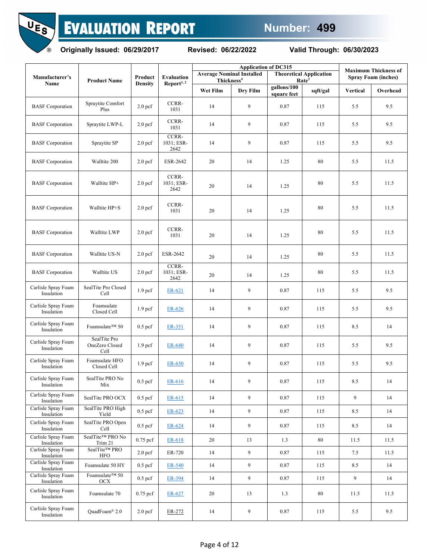



|                                   |                                        |                    |                             | <b>Application of DC315</b>                                |          |                            |                                                     | <b>Maximum Thickness of</b> |          |  |
|-----------------------------------|----------------------------------------|--------------------|-----------------------------|------------------------------------------------------------|----------|----------------------------|-----------------------------------------------------|-----------------------------|----------|--|
| Manufacturer's                    | <b>Product Name</b>                    | Product            | <b>Evaluation</b>           | <b>Average Nominal Installed</b><br>Thickness <sup>4</sup> |          |                            | <b>Theoretical Application</b><br>Rate <sup>3</sup> | <b>Spray Foam (inches)</b>  |          |  |
| Name                              |                                        | <b>Density</b>     | Report <sup>1,2</sup>       | Wet Film                                                   | Dry Film | gallons/100<br>square feet | sqft/gal                                            | <b>Vertical</b>             | Overhead |  |
| <b>BASF</b> Corporation           | Spraytite Comfort<br>Plus              | 2.0 <sub>pcf</sub> | CCRR-<br>1031               | 14                                                         | 9        | 0.87                       | 115                                                 | 5.5                         | 9.5      |  |
| <b>BASF</b> Corporation           | Spraytite LWP-L                        | 2.0 <sub>pcf</sub> | CCRR-<br>1031               | 14                                                         | 9        | 0.87                       | 115                                                 | 5.5                         | 9.5      |  |
| <b>BASF</b> Corporation           | Spraytite SP                           | 2.0 <sub>pcf</sub> | CCRR-<br>1031; ESR-<br>2642 | 14                                                         | 9        | 0.87                       | 115                                                 | 5.5                         | 9.5      |  |
| <b>BASF</b> Corporation           | Walltite 200                           | 2.0 <sub>pcf</sub> | ESR-2642                    | 20                                                         | 14       | 1.25                       | 80                                                  | 5.5                         | 11.5     |  |
| <b>BASF</b> Corporation           | Walltite HP+                           | 2.0 <sub>pcf</sub> | CCRR-<br>1031; ESR-<br>2642 | 20                                                         | 14       | 1.25                       | 80                                                  | 5.5                         | 11.5     |  |
| <b>BASF</b> Corporation           | Walltite HP+S                          | 2.0 <sub>pcf</sub> | CCRR-<br>1031               | 20                                                         | 14       | 1.25                       | 80                                                  | 5.5                         | 11.5     |  |
| <b>BASF</b> Corporation           | Walltite LWP                           | 2.0 <sub>pcf</sub> | CCRR-<br>1031               | 20                                                         | 14       | 1.25                       | 80                                                  | 5.5                         | 11.5     |  |
| <b>BASF</b> Corporation           | Walltite US-N                          | 2.0 <sub>pcf</sub> | ESR-2642                    | 20                                                         | 14       | 1.25                       | 80                                                  | 5.5                         | 11.5     |  |
| <b>BASF</b> Corporation           | Walltite US                            | 2.0 <sub>pcf</sub> | CCRR-<br>1031; ESR-<br>2642 | 20                                                         | 14       | 1.25                       | 80                                                  | 5.5                         | 11.5     |  |
| Carlisle Spray Foam<br>Insulation | SealTite Pro Closed<br>Cell            | 1.9 <sub>pcf</sub> | ER-621                      | 14                                                         | 9        | 0.87                       | 115                                                 | 5.5                         | 9.5      |  |
| Carlisle Spray Foam<br>Insulation | Foamsulate<br>Closed Cell              | 1.9 <sub>pcf</sub> | $ER-626$                    | 14                                                         | 9        | 0.87                       | 115                                                 | 5.5                         | 9.5      |  |
| Carlisle Spray Foam<br>Insulation | Foamsulate™ 50                         | $0.5$ pcf          | ER-351                      | 14                                                         | 9        | 0.87                       | 115                                                 | 8.5                         | 14       |  |
| Carlisle Spray Foam<br>Insulation | SealTite Pro<br>OneZero Closed<br>Cell | 1.9 <sub>pcf</sub> | ER-640                      | 14                                                         | 9        | 0.87                       | 115                                                 | 5.5                         | 9.5      |  |
| Carlisle Spray Foam<br>Insulation | Foamsulate HFO<br>Closed Cell          | 1.9 <sub>pcf</sub> | ER-650                      | 14                                                         | 9        | 0.87                       | 115                                                 | 5.5                         | 9.5      |  |
| Carlisle Spray Foam<br>Insulation | SealTite PRO No<br>Mix                 | $0.5$ pcf          | ER-616                      | 14                                                         | 9        | 0.87                       | 115                                                 | 8.5                         | 14       |  |
| Carlisle Spray Foam<br>Insulation | SealTite PRO OCX                       | $0.5$ pcf          | ER-615                      | 14                                                         | 9        | 0.87                       | 115                                                 | 9                           | 14       |  |
| Carlisle Spray Foam<br>Insulation | SealTite PRO High<br>Yield             | $0.5$ pcf          | ER-623                      | 14                                                         | 9        | 0.87                       | 115                                                 | 8.5                         | 14       |  |
| Carlisle Spray Foam<br>Insulation | SealTite PRO Open<br>Cell              | $0.5$ pcf          | ER-624                      | 14                                                         | 9        | 0.87                       | 115                                                 | 8.5                         | 14       |  |
| Carlisle Spray Foam<br>Insulation | SealTite™ PRO No<br>Trim 21            | $0.75$ pcf         | ER-618                      | 20                                                         | 13       | 1.3                        | 80                                                  | 11.5                        | 11.5     |  |
| Carlisle Spray Foam<br>Insulation | SealTite™ PRO<br><b>HFO</b>            | 2.0 <sub>pcf</sub> | ER-720                      | 14                                                         | 9        | 0.87                       | 115                                                 | 7.5                         | 11.5     |  |
| Carlisle Spray Foam<br>Insulation | Foamsulate 50 HY                       | $0.5$ pcf          | ER-540                      | 14                                                         | 9        | 0.87                       | 115                                                 | 8.5                         | 14       |  |
| Carlisle Spray Foam<br>Insulation | Foamsulate™ 50<br><b>OCX</b>           | $0.5$ pcf          | ER-394                      | 14                                                         | 9        | 0.87                       | 115                                                 | 9                           | 14       |  |
| Carlisle Spray Foam<br>Insulation | Foamsulate 70                          | 0.75 pcf           | ER-627                      | 20                                                         | 13       | 1.3                        | $80\,$                                              | 11.5                        | 11.5     |  |
| Carlisle Spray Foam<br>Insulation | QuadFoam® 2.0                          | 2.0 <sub>pcf</sub> | ER-272                      | 14                                                         | 9        | 0.87                       | 115                                                 | 5.5                         | 9.5      |  |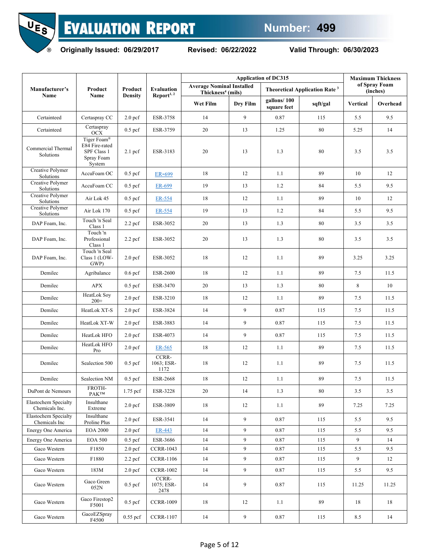



**Originally Issued: 06/29/2017 Revised: 06/22/2022 Valid Through: 06/30/2023**

|                                              |                                                                      |                           |                                             |                                                                   |                | <b>Maximum Thickness</b>   |                                                 |          |                           |
|----------------------------------------------|----------------------------------------------------------------------|---------------------------|---------------------------------------------|-------------------------------------------------------------------|----------------|----------------------------|-------------------------------------------------|----------|---------------------------|
| Manufacturer's<br>Name                       | Product<br>Name                                                      | Product<br><b>Density</b> | <b>Evaluation</b><br>Report <sup>1, 2</sup> | <b>Average Nominal Installed</b><br>Thickness <sup>4</sup> (mils) |                |                            | <b>Theoretical Application Rate<sup>3</sup></b> |          | of Spray Foam<br>(inches) |
|                                              |                                                                      |                           |                                             | Wet Film                                                          | Dry Film       | gallons/100<br>square feet | sqft/gal                                        | Vertical | Overhead                  |
| Certainteed                                  | Certaspray CC                                                        | 2.0 <sub>pcf</sub>        | ESR-3758                                    | 14                                                                | 9              | 0.87                       | 115                                             | 5.5      | 9.5                       |
| Certainteed                                  | $\overline{C}$ ertaspray<br>OCX                                      | $0.5$ pcf                 | ESR-3759                                    | 20                                                                | 13             | 1.25                       | 80                                              | 5.25     | 14                        |
| Commercial Thermal<br>Solutions              | Tiger Foam®<br>E84 Fire-rated<br>SPF Class 1<br>Spray Foam<br>System | $2.1$ pcf                 | ESR-3183                                    | 20                                                                | 13             | 1.3                        | 80                                              | 3.5      | 3.5                       |
| Creative Polymer<br>Solutions                | AccuFoam OC                                                          | $0.5$ pcf                 | ER-699                                      | 18                                                                | 12             | 1.1                        | 89                                              | 10       | 12                        |
| Creative Polymer<br>Solutions                | AccuFoam CC                                                          | $0.5$ pcf                 | ER-699                                      | 19                                                                | 13             | 1.2                        | 84                                              | 5.5      | 9.5                       |
| Creative Polymer<br>Solutions                | Air Lok 45                                                           | $0.5$ pcf                 | ER-554                                      | 18                                                                | 12             | 1.1                        | 89                                              | $10\,$   | 12                        |
| Creative Polymer<br>Solutions                | Air Lok 170                                                          | $0.5$ pcf                 | ER-554                                      | 19                                                                | 13             | 1.2                        | 84                                              | 5.5      | 9.5                       |
| DAP Foam, Inc.                               | Touch 'n Seal<br>Class 1                                             | $2.2$ pcf                 | ESR-3052                                    | 20                                                                | 13             | 1.3                        | 80                                              | 3.5      | 3.5                       |
| DAP Foam, Inc.                               | Touch 'n<br>Professional<br>Class 1                                  | $2.2$ pcf                 | ESR-3052                                    | 20                                                                | 13             | 1.3                        | 80                                              | 3.5      | 3.5                       |
| DAP Foam, Inc.                               | Touch 'n Seal<br>Class 1 (LOW-<br>GWP)                               | 2.0 <sub>pcf</sub>        | ESR-3052                                    | 18                                                                | 12             | 1.1                        | 89                                              | 3.25     | 3.25                      |
| Demilec                                      | Agribalance                                                          | $0.6$ pcf                 | <b>ESR-2600</b>                             | 18                                                                | 12             | 1.1                        | 89                                              | 7.5      | 11.5                      |
| Demilec                                      | <b>APX</b>                                                           | $0.5$ pcf                 | ESR-3470                                    | $20\,$                                                            | 13             | 1.3                        | 80                                              | 8        | 10                        |
| Demilec                                      | HeatLok Soy<br>$200+$                                                | 2.0 <sub>pcf</sub>        | ESR-3210                                    | 18                                                                | 12             | 1.1                        | 89                                              | 7.5      | 11.5                      |
| Demilec                                      | HeatLok XT-S                                                         | 2.0 <sub>pcf</sub>        | ESR-3824                                    | 14                                                                | 9              | 0.87                       | 115                                             | 7.5      | 11.5                      |
| Demilec                                      | HeatLok XT-W                                                         | 2.0 <sub>pcf</sub>        | ESR-3883                                    | 14                                                                | 9              | 0.87                       | 115                                             | 7.5      | 11.5                      |
| Demilec                                      | HeatLok HFO                                                          | 2.0 <sub>pcf</sub>        | ESR-4073                                    | 14                                                                | 9              | 0.87                       | 115                                             | 7.5      | 11.5                      |
| Demilec                                      | HeatLok HFO<br>Pro                                                   | 2.0 <sub>pcf</sub>        | ER-565                                      | 18                                                                | 12             | 1.1                        | 89                                              | 7.5      | 11.5                      |
| Demilec                                      | Sealection 500                                                       | $0.5$ pcf                 | CCRR-<br>1063; ESR-<br>1172                 | 18                                                                | 12             | 1.1                        | 89                                              | 7.5      | 11.5                      |
| Demilec                                      | Sealection NM                                                        | $0.5$ pcf                 | <b>ESR-2668</b>                             | 18                                                                | 12             | 1.1                        | 89                                              | 7.5      | 11.5                      |
| DuPont de Nemours                            | FROTH-<br>$\mathbf{P}\mathbf{A}\mathbf{K}^{\mathsf{TM}}$             | 1.75 pcf                  | ESR-3228                                    | 20                                                                | 14             | 1.3                        | 80                                              | 3.5      | 3.5                       |
| Elastochem Specialty<br>Chemicals Inc.       | Insulthane<br>Extreme                                                | 2.0 <sub>pcf</sub>        | ESR-3809                                    | 18                                                                | 12             | 1.1                        | 89                                              | 7.25     | 7.25                      |
| <b>Elastochem Specialty</b><br>Chemicals Inc | Insulthane<br>Proline Plus                                           | 2.0 <sub>pcf</sub>        | ESR-3541                                    | 14                                                                | 9              | 0.87                       | 115                                             | 5.5      | 9.5                       |
| Energy One America                           | <b>EOA 2000</b>                                                      | 2.0 <sub>pcf</sub>        | ER-443                                      | 14                                                                | 9              | 0.87                       | 115                                             | 5.5      | 9.5                       |
| Energy One America                           | <b>EOA 500</b>                                                       | $0.5$ pcf                 | ESR-3686                                    | 14                                                                | 9              | 0.87                       | 115                                             | 9        | 14                        |
| Gaco Western                                 | F1850                                                                | 2.0 <sub>pcf</sub>        | <b>CCRR-1043</b>                            | 14                                                                | 9              | 0.87                       | 115                                             | 5.5      | 9.5                       |
| Gaco Western                                 | F1880                                                                | $2.2$ pcf                 | <b>CCRR-1106</b>                            | 14                                                                | 9              | 0.87                       | 115                                             | 9        | 12                        |
| Gaco Western                                 | 183M                                                                 | 2.0 <sub>pcf</sub>        | <b>CCRR-1002</b>                            | 14                                                                | 9              | 0.87                       | 115                                             | 5.5      | 9.5                       |
| Gaco Western                                 | Gaco Green<br>052N                                                   | $0.5$ pcf                 | CCRR-<br>1075; ESR-<br>2478                 | 14                                                                | 9              | 0.87                       | 115                                             | 11.25    | 11.25                     |
| Gaco Western                                 | Gaco Firestop2<br>F5001                                              | $0.5$ pcf                 | <b>CCRR-1009</b>                            | 18                                                                | 12             | 1.1                        | 89                                              | 18       | 18                        |
| Gaco Western                                 | GacoEZSpray<br>F4500                                                 | $0.55$ pcf                | <b>CCRR-1107</b>                            | 14                                                                | $\overline{9}$ | 0.87                       | 115                                             | 8.5      | 14                        |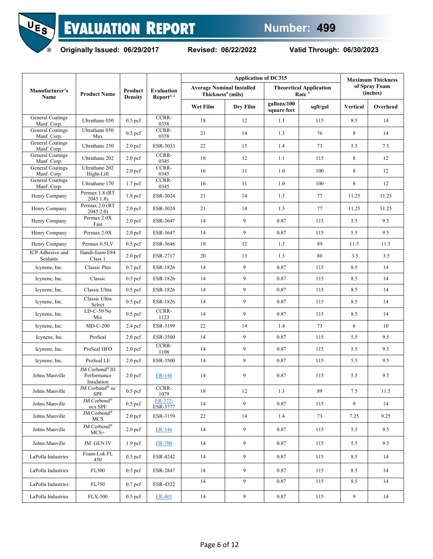



|                                        |                                              |                           | Evaluation<br>Report <sup>1, 2</sup> |                                                                   | <b>Maximum Thickness</b> |                            |                                                     |                 |                           |
|----------------------------------------|----------------------------------------------|---------------------------|--------------------------------------|-------------------------------------------------------------------|--------------------------|----------------------------|-----------------------------------------------------|-----------------|---------------------------|
| Manufacturer's<br>Name                 | <b>Product Name</b>                          | Product<br><b>Density</b> |                                      | <b>Average Nominal Installed</b><br>Thickness <sup>4</sup> (mils) |                          |                            | <b>Theoretical Application</b><br>Rate <sup>3</sup> |                 | of Spray Foam<br>(inches) |
|                                        |                                              |                           |                                      | Wet Film                                                          | Dry Film                 | gallons/100<br>square feet | sqft/gal                                            | <b>Vertical</b> | Overhead                  |
| <b>General Coatings</b><br>Manf. Corp. | Ultrathane 050                               | $0.5$ pcf                 | CCRR-<br>0358                        | 18                                                                | 12                       | 1.1                        | 115                                                 | 8.5             | 14                        |
| <b>General Coatings</b><br>Manf. Corp. | Ultrathane 050<br>Max                        | $0.5$ pcf                 | CCRR-<br>0358                        | 21                                                                | 14                       | 1.3                        | 76                                                  | 8               | 14                        |
| <b>General Coatings</b><br>Manf. Corp. | Ultrathane 230                               | 2.0 <sub>pcf</sub>        | ESR-3033                             | 22                                                                | 15                       | 1.4                        | 73                                                  | 5.5             | 7.5                       |
| <b>General Coatings</b><br>Manf. Corp. | Ultrathane 202                               | 2.0 <sub>pcf</sub>        | CCRR-<br>0345                        | 18                                                                | 12                       | 1.1                        | 115                                                 | 8               | 12                        |
| <b>General Coatings</b><br>Manf. Corp. | Ultrathane 202<br>Hight-Lift                 | 2.0 <sub>pcf</sub>        | CCRR-<br>0345                        | 16                                                                | 11                       | 1.0                        | 100                                                 | 8               | 12                        |
| <b>General Coatings</b><br>Manf. Corp. | Ultrathane 170                               | 1.7 <sub>pcf</sub>        | CCRR-<br>0345                        | 16                                                                | 11                       | 1.0                        | 100                                                 | 8               | 12                        |
| Henry Company                          | Permax 1.8 (RT)<br>2045 1.8)                 | 1.8 <sub>pcf</sub>        | ESR-3024                             | 21                                                                | 14                       | 1.3                        | 77                                                  | 11.25           | 11.25                     |
| Henry Company                          | Permax 2.0 (RT<br>2045 2.0)                  | 2.0 <sub>pcf</sub>        | ESR-3024                             | 21                                                                | 14                       | 1.3                        | 77                                                  | 11.25           | 11.25                     |
| Henry Company                          | Permax 2.0X<br>Fast                          | 2.0 <sub>pcf</sub>        | ESR-3647                             | 14                                                                | 9                        | 0.87                       | 115                                                 | 5.5             | 9.5                       |
| Henry Company                          | Permax 2.0X                                  | 2.0 <sub>pcf</sub>        | ESR-3647                             | 14                                                                | 9                        | 0.87                       | 115                                                 | 5.5             | 9.5                       |
| Henry Company                          | Permax 0.5LV                                 | $0.5$ pcf                 | ESR-3646                             | 18                                                                | 12                       | 1.3                        | 89                                                  | 11.5            | 11.5                      |
| ICP Adhesive and<br>Sealants           | Handi-foam E84<br>Class 1                    | 2.0 <sub>pcf</sub>        | ESR-2717                             | 20                                                                | 13                       | 1.3                        | 80                                                  | 3.5             | 3.5                       |
| Icynene, Inc.                          | Classic Plus                                 | $0.7$ pcf                 | ESR-1826                             | 14                                                                | 9                        | 0.87                       | 115                                                 | 8.5             | 14                        |
| Icynene, Inc.                          | Classic                                      | $0.5$ pcf                 | ESR-1826                             | 14                                                                | 9                        | 0.87                       | 115                                                 | 8.5             | 14                        |
| Icynene, Inc.                          | Classic Ultra                                | $0.5$ pcf                 | ESR-1826                             | 14                                                                | 9                        | 0.87                       | 115                                                 | 8.5             | 14                        |
| Icynene, Inc.                          | Classic Ultra<br>Select                      | $0.5$ pcf                 | ESR-1826                             | 14                                                                | 9                        | 0.87                       | 115                                                 | 8.5             | 14                        |
| Icynene, Inc.                          | $LD-C-50$ No<br>Mix                          | $0.5$ pcf                 | CCRR-<br>1123                        | 14                                                                | 9                        | 0.87                       | 115                                                 | 8.5             | 14                        |
| Icynene, Inc.                          | $MD-C-200$                                   | $2.4$ pcf                 | ESR-3199                             | 22                                                                | 14                       | 1.4                        | 73                                                  | 6               | 10                        |
| Icynene, Inc.                          | ProSeal                                      | 2.0 <sub>pcf</sub>        | ESR-3500                             | 14                                                                | 9                        | 0.87                       | 115                                                 | 5.5             | 9.5                       |
| Icynene, Inc.                          | ProSeal HFO                                  | 2.0 <sub>pcf</sub>        | CCRR-<br>1108                        | 14                                                                | 9                        | 0.87                       | 115                                                 | 5.5             | 9.5                       |
| Icynene, Inc.                          | ProSeal LE                                   | 2.0 <sub>pcf</sub>        | ESR-3500                             | 14                                                                | 9                        | 0.87                       | 115                                                 | 5.5             | 9.5                       |
| Johns Manville                         | JM Corbond® III<br>Performance<br>Insulation | 2.0 <sub>pcf</sub>        | ER-146                               | 14                                                                | 9                        | 0.87                       | 115                                                 | 5.5             | 9.5                       |
| Johns Manville                         | JM Corbond <sup>®</sup> oc<br>SPF            | $0.5~\mathrm{pcf}$        | CCRR-<br>1079                        | 18                                                                | 12                       | 1.3                        | 89                                                  | 7.5             | 11.5                      |
| Johns Manville                         | $\text{JM}$ Corbond<br>®<br>ocx SPF          | $0.5$ pcf                 | ER-372;<br>ESR-3777                  | 14                                                                | 9                        | 0.87                       | 115                                                 | 9               | 14                        |
| Johns Manville                         | JM Corbond®<br><b>MCS</b>                    | 2.0 <sub>pcf</sub>        | ESR-3159                             | 22                                                                | 14                       | 1.4                        | 73                                                  | 7.25            | 9.25                      |
| Johns Manville                         | $\text{JM}$ Corbond<br>®<br>$MCS+$           | 2.0 <sub>pcf</sub>        | ER-546                               | 14                                                                | 9                        | 0.87                       | 115                                                 | 5.5             | 9.5                       |
| Johns Manville                         | JM GEN IV                                    | 1.9 <sub>pcf</sub>        | <b>ER-700</b>                        | 14                                                                | 9                        | 0.87                       | 115                                                 | 5.5             | 9.5                       |
| LaPolla Industries                     | Foam-Lok FL<br>450                           | $0.5$ pcf                 | ESR-4242                             | 14                                                                | 9                        | 0.87                       | 115                                                 | 8.5             | 14                        |
| LaPolla Industries                     | FL500                                        | $0.5$ pcf                 | ESR-2847                             | 14                                                                | 9                        | 0.87                       | 115                                                 | 8.5             | 14                        |
| LaPolla Industries                     | FL750                                        | $0.7$ pcf                 | ESR-4322                             | 14                                                                | 9                        | 0.87                       | 115                                                 | 8.5             | 14                        |
| LaPolla Industries                     | <b>FLX-500</b>                               | $0.5$ pcf                 | ER-401                               | 14                                                                | $\overline{9}$           | 0.87                       | 115                                                 | 9               | 14                        |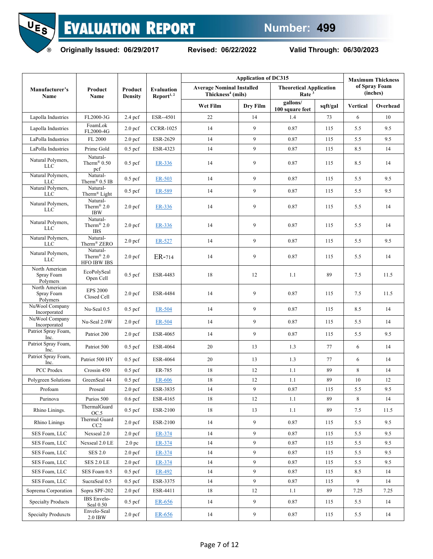

**Originally Issued: 06/29/2017 Revised: 06/22/2022 Valid Through: 06/30/2023**

|                                          |                                                          |                           |                                      |                                                                   | <b>Application of DC315</b> |                                                     |          |          |                           |  |
|------------------------------------------|----------------------------------------------------------|---------------------------|--------------------------------------|-------------------------------------------------------------------|-----------------------------|-----------------------------------------------------|----------|----------|---------------------------|--|
| Manufacturer's<br>Name                   | Product<br>Name                                          | Product<br><b>Density</b> | Evaluation<br>Report <sup>1, 2</sup> | <b>Average Nominal Installed</b><br>Thickness <sup>4</sup> (mils) |                             | <b>Theoretical Application</b><br>Rate <sup>3</sup> |          |          | of Spray Foam<br>(inches) |  |
|                                          |                                                          |                           |                                      | Wet Film                                                          | Dry Film                    | gallons/<br>100 square feet                         | sqft/gal | Vertical | Overhead                  |  |
| Lapolla Industries                       | FL2000-3G                                                | $2.4$ pcf                 | ESR--4501                            | 22                                                                | 14                          | 1.4                                                 | 73       | 6        | 10                        |  |
| Lapolla Industries                       | FoamLok<br>FL2000-4G                                     | 2.0 <sub>pcf</sub>        | <b>CCRR-1025</b>                     | 14                                                                | 9                           | 0.87                                                | 115      | 5.5      | 9.5                       |  |
| LaPolla Industries                       | FL 2000                                                  | 2.0 <sub>pcf</sub>        | ESR-2629                             | 14                                                                | 9                           | 0.87                                                | 115      | 5.5      | 9.5                       |  |
| LaPolla Industries                       | Prime Gold                                               | $0.5$ pcf                 | ESR-4323                             | 14                                                                | 9                           | 0.87                                                | 115      | 8.5      | 14                        |  |
| Natural Polymers,<br><b>LLC</b>          | Natural-<br>Therm® $0.50$<br>pcf                         | $0.5$ pcf                 | ER-336                               | 14                                                                | 9                           | 0.87                                                | 115      | 8.5      | 14                        |  |
| Natural Polymers,<br><b>LLC</b>          | Natural-<br>Therm <sup>®</sup> $0.5$ IB                  | $0.5$ pcf                 | ER-503                               | 14                                                                | 9                           | 0.87                                                | 115      | 5.5      | 9.5                       |  |
| Natural Polymers,<br><b>LLC</b>          | Natural-<br>Therm <sup>®</sup> Light                     | $0.5$ pcf                 | ER-589                               | 14                                                                | 9                           | 0.87                                                | 115      | 5.5      | 9.5                       |  |
| Natural Polymers,<br><b>LLC</b>          | Natural-<br>Therm <sup>®</sup> 2.0<br><b>IBW</b>         | 2.0 <sub>pcf</sub>        | ER-336                               | 14                                                                | 9                           | 0.87                                                | 115      | 5.5      | 14                        |  |
| Natural Polymers,<br><b>LLC</b>          | Natural-<br>Therm <sup>®</sup> $2.0$<br><b>IBS</b>       | 2.0 <sub>pcf</sub>        | ER-336                               | 14                                                                | 9                           | 0.87                                                | 115      | 5.5      | 14                        |  |
| Natural Polymers,<br><b>LLC</b>          | Natural-<br>Therm® ZERO                                  | 2.0 <sub>pcf</sub>        | ER-527                               | 14                                                                | 9                           | 0.87                                                | 115      | 5.5      | 9.5                       |  |
| Natural Polymers,<br><b>LLC</b>          | Natural-<br>Therm <sup>®</sup> 2.0<br><b>HFO IBW IBS</b> | 2.0 <sub>pcf</sub>        | ER-714                               | 14                                                                | 9<br>0.87                   |                                                     | 115      | 5.5      | 14                        |  |
| North American<br>Spray Foam<br>Polymers | EcoPolySeal<br>Open Cell                                 | $0.5$ pcf                 | <b>ESR-4483</b>                      | 18                                                                | 12                          | 1.1                                                 | 89       | 7.5      | 11.5                      |  |
| North American<br>Spray Foam<br>Polymers | <b>EPS 2000</b><br>Closed Cell                           | 2.0 <sub>pcf</sub>        | <b>ESR-4484</b>                      | 14                                                                | 9                           | 0.87                                                | 115      | 7.5      | 11.5                      |  |
| NuWool Company<br>Incorporated           | Nu-Seal 0.5                                              | $0.5$ pcf                 | ER-504                               | 14                                                                | 9                           | 0.87                                                | 115      | 8.5      | 14                        |  |
| NuWool Company<br>Incorporated           | Nu-Seal 2.0W                                             | 2.0 <sub>pcf</sub>        | ER-504                               | 14                                                                | 9                           | 0.87                                                | 115      | 5.5      | 14                        |  |
| Patriot Spray Foam,<br>Inc.              | Patriot 200                                              | 2.0 <sub>pcf</sub>        | ESR-4065                             | 14                                                                | 9                           | 0.87                                                | 115      | 5.5      | 9.5                       |  |
| Patriot Spray Foam,<br>Inc.              | Patriot 500                                              | $0.5$ pcf                 | <b>ESR-4064</b>                      | 20                                                                | 13                          | 1.3                                                 | 77       | 6        | 14                        |  |
| Patriot Spray Foam,<br>Inc.              | Patriot 500 HY                                           | $0.5$ pcf                 | <b>ESR-4064</b>                      | 20                                                                | 13                          | 1.3                                                 | 77       | 6        | 14                        |  |
| PCC Prodex                               | Crossin 450                                              | $0.5$ pcf                 | ER-785                               | 18                                                                | 12                          | 1.1                                                 | 89       | $\,8\,$  | 14                        |  |
| Polygreen Solutions                      | GreenSeal 44                                             | $0.5$ pcf                 | ER-606                               | 18                                                                | 12                          | 1.1                                                 | 89       | 10       | 12                        |  |
| Profoam                                  | Proseal                                                  | $2.0\;\mathrm{pcf}$       | ESR-3835                             | 14                                                                | 9                           | 0.87                                                | 115      | 5.5      | 9.5                       |  |
| Purinova                                 | Purios 500                                               | $0.6$ pcf                 | ESR-4165                             | 18                                                                | 12                          | 1.1                                                 | 89       | 8        | 14                        |  |
| Rhino Linings.                           | ThermalGuard<br>OC.5                                     | $0.5$ pcf                 | ESR-2100                             | 18                                                                | 13                          | 1.1                                                 | 89       | 7.5      | 11.5                      |  |
| Rhino Linings                            | Thermal Guard<br>CC2                                     | 2.0 <sub>pcf</sub>        | ESR-2100                             | 14                                                                | 9                           | 0.87                                                | 115      | 5.5      | 9.5                       |  |
| SES Foam, LLC                            | Nexseal 2.0                                              | 2.0 <sub>pcf</sub>        | ER-374                               | 14                                                                | 9                           | 0.87                                                | 115      | 5.5      | 9.5                       |  |
| SES Foam, LLC                            | Nexseal 2.0 LE                                           | 2.0 <sub>pc</sub>         | ER-374                               | 14                                                                | 9                           | 0.87                                                | 115      | 5.5      | 9.5                       |  |
| SES Foam, LLC                            | <b>SES 2.0</b>                                           | 2.0 <sub>pcf</sub>        | ER-374                               | 14                                                                | 9                           | 0.87                                                | 115      | 5.5      | 9.5                       |  |
| SES Foam, LLC                            | <b>SES 2.0 LE</b>                                        | 2.0 <sub>pcf</sub>        | ER-374                               | 14                                                                | 9                           | 0.87                                                | 115      | 5.5      | 9.5                       |  |
| SES Foam, LLC                            | SES Foam 0.5                                             | $0.5$ pcf                 | ER-492                               | 14                                                                | 9                           | 0.87                                                | 115      | 8.5      | 14                        |  |
| SES Foam, LLC                            | SucraSeal 0.5                                            | $0.5$ pcf                 | ESR-3375                             | 14                                                                | 9                           | 0.87                                                | 115      | 9        | 14                        |  |
| Soprema Corporation                      | Sopra SPF-202                                            | 2.0 <sub>pcf</sub>        | ESR-4411                             | 18                                                                | 12                          | 1.1                                                 | 89       | 7.25     | 7.25                      |  |
| <b>Specialty Products</b>                | IBS Envelo-<br>Seal 0.50                                 | $0.5$ pcf                 | ER-656                               | 14                                                                | 9                           | 0.87                                                | 115      | 5.5      | 14                        |  |
| <b>Specialty Produxcts</b>               | Envelo-Seal<br>2.0 IBW                                   | 2.0 <sub>pcf</sub>        | ER-656                               | 14                                                                | 9                           | 0.87                                                | 115      | 5.5      | 14                        |  |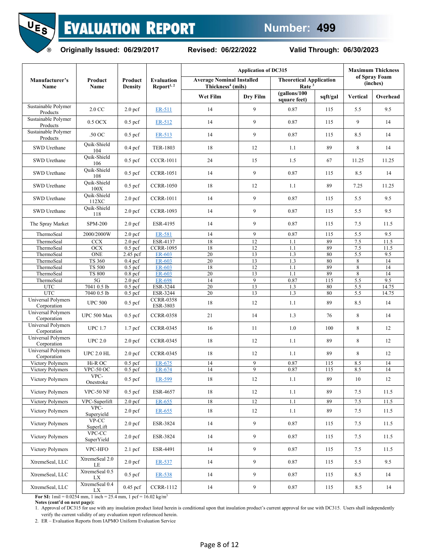



|                                   |                      |                           |                                             | <b>Application of DC315</b>                                       |              | <b>Maximum Thickness</b>                            |          |                  |                           |
|-----------------------------------|----------------------|---------------------------|---------------------------------------------|-------------------------------------------------------------------|--------------|-----------------------------------------------------|----------|------------------|---------------------------|
| Manufacturer's<br>Name            | Product<br>Name      | Product<br><b>Density</b> | <b>Evaluation</b><br>Report <sup>1, 2</sup> | <b>Average Nominal Installed</b><br>Thickness <sup>4</sup> (mils) |              | <b>Theoretical Application</b><br>Rate <sup>3</sup> |          |                  | of Spray Foam<br>(inches) |
|                                   |                      |                           |                                             | Wet Film                                                          | Dry Film     | (gallons/100<br>square feet)                        | sqft/gal | Vertical         | Overhead                  |
| Sustainable Polymer<br>Products   | 2.0 CC               | 2.0 <sub>pcf</sub>        | ER-511                                      | 14                                                                | $\mathbf{Q}$ | 0.87                                                | 115      | 5.5              | 9.5                       |
| Sustainable Polymer<br>Products   | 0.5 OCX              | $0.5$ pcf                 | ER-512                                      | 14                                                                | 9            | 0.87                                                | 115      | 9                | 14                        |
| Sustainable Polymer<br>Products   | .50 OC               | $0.5$ pcf                 | ER-513                                      | 14                                                                | 9            | 0.87                                                | 115      | 8.5              | 14                        |
| SWD Urethane                      | Quik-Shield<br>104   | $0.4$ pcf                 | TER-1803                                    | 18                                                                | 12           | 1.1                                                 | 89       | 8                | 14                        |
| SWD Urethane                      | Quik-Shield<br>106   | $0.5$ pcf                 | <b>CCCR-1011</b>                            | 24                                                                | 15           | 1.5                                                 | 67       | 11.25            | 11.25                     |
| SWD Urethane                      | Quik-Shield<br>108   | $0.5$ pcf                 | <b>CCRR-1051</b>                            | 14                                                                | 9            | 0.87                                                | 115      | 8.5              | 14                        |
| SWD Urethane                      | Quik-Shield<br>100X  | $0.5~\mathrm{pcf}$        | <b>CCRR-1050</b>                            | 18                                                                | 12           | 1.1                                                 | 89       | 7.25             | 11.25                     |
| SWD Urethane                      | Quik-Shield<br>112XC | 2.0 <sub>pcf</sub>        | <b>CCRR-1011</b>                            | 14                                                                | 9            | 0.87                                                | 115      | 5.5              | 9.5                       |
| SWD Urethane                      | Quik-Shield<br>118   | 2.0 <sub>pcf</sub>        | <b>CCRR-1093</b>                            | 14                                                                | 9            | 0.87                                                | 115      | 5.5              | 9.5                       |
| The Spray Market                  | <b>SPM-200</b>       | 2.0 <sub>pcf</sub>        | ESR-4195                                    | 14                                                                | 9            | 0.87                                                | 115      | 7.5              | 11.5                      |
| ThermoSeal                        | 2000/2000W           | 2.0 <sub>pcf</sub>        | ER-581                                      | 14                                                                | 9            | 0.87                                                | 115      | 5.5              | 9.5                       |
| ThermoSeal                        | CCX                  | 2.0 <sub>pcf</sub>        | ESR-4137                                    | 18                                                                | 12           | 1.1                                                 | 89       | 7.5              | 11.5                      |
| ThermoSeal                        | <b>OCX</b>           | $\overline{0.5}$ pcf      | <b>CCRR-1095</b>                            | 18                                                                | 12           | 1.1                                                 | 89       | 7.5              | 11.5                      |
| ThermoSeal                        | <b>ONE</b>           | 2.45 pcf                  | ER-603                                      | 20                                                                | 13           | 1.3                                                 | 80       | $\overline{5.5}$ | 9.5                       |
| ThermoSeal                        | <b>TS 360</b>        | $\overline{0.4}$ pcf      | ER-603                                      | 20                                                                | 13           | 1.3                                                 | 80       | 8                | 14                        |
|                                   |                      |                           |                                             |                                                                   |              |                                                     |          |                  |                           |
| ThermoSeal                        | <b>TS 500</b>        | $\overline{0.5}$ pcf      | ER-603                                      | 18                                                                | 12           | 1.1                                                 | 89       | 8                | 14                        |
| ThermoSeal                        | <b>TS 800</b>        | $0.8$ pcf                 | ER-603                                      | 20                                                                | 13           | 1.1                                                 | 89       | 8                | 14                        |
| ThermoSeal                        | 5G                   | $\overline{2.0}$ pcf      | <b>ER-698</b>                               | 14                                                                | 9            | 0.87                                                | 115      | 5.5              | 9.5                       |
| <b>UTC</b>                        | 7041 0.5 lb          | $0.5$ pcf                 | ESR-3244                                    | 20                                                                | 13           | 1.3                                                 | 80       | 5.5              | 14.75                     |
| <b>UTC</b>                        | 7040 0.5 lb          | $\overline{0.5}$ pcf      | ESR-3244                                    | 20                                                                | 13           | 1.3                                                 | 80       | 5.5              | 14.75                     |
| Universal Polymers<br>Corporation | <b>UPC 500</b>       | $0.5$ pcf                 | <b>CCRR-0358</b><br>ESR-3803                | 18                                                                | 12           | 1.1                                                 | 89       | 8.5              | 14                        |
| Universal Polymers<br>Corporation | UPC 500 Max          | $0.5$ pcf                 | <b>CCRR-0358</b>                            | 21                                                                | 14           | 1.3                                                 | 76       | 8                | 14                        |
| Universal Polymers<br>Corporation | <b>UPC 1.7</b>       | 1.7 <sub>pcf</sub>        | <b>CCRR-0345</b>                            | 16                                                                | 11           | 1.0                                                 | 100      | 8                | 12                        |
| Universal Polymers<br>Corporation | <b>UPC 2.0</b>       | 2.0 <sub>pcf</sub>        | <b>CCRR-0345</b>                            | 18                                                                | 12           | 1.1                                                 | 89       | 8                | 12                        |
| Universal Polymers<br>Corporation | <b>UPC 2.0 HL</b>    | 2.0 <sub>pcf</sub>        | <b>CCRR-0345</b>                            | 18                                                                | 12           | 1.1                                                 | 89       | 8                | 12                        |
| Victory Polymers                  | Hi-R OC              | $0.5$ pcf                 | ER-675                                      | 14                                                                | 9            | 0.87                                                | 115      | 8.5              | 14                        |
| Victory Polymers                  | VPC-50 OC            | $0.5$ pcf                 | ER-674                                      | 14                                                                | 9            | 0.87                                                | 115      | 8.5              | 14                        |
| Victory Polymers                  | VPC-<br>Onestroke    | $0.5\;\mathrm{pcf}$       | ER-599                                      | $18\,$                                                            | 12           | 1.1                                                 | 89       | $10\,$           | $12\,$                    |
| Victory Polymers                  | VPC-50 $NF$          | $0.5$ pcf                 | ESR-4657                                    | 18                                                                | 12           | 1.1                                                 | 89       | 7.5              | 11.5                      |
| Victory Polymers                  | VPC-Superlift        | 2.0 <sub>pcf</sub>        | ER-655                                      | $18\,$                                                            | 12           | 1.1                                                 | 89       | $7.5\,$          | 11.5                      |
| Victory Polymers                  | VPC-<br>Superyield   | 2.0 <sub>pcf</sub>        | ER-655                                      | 18                                                                | 12           | 1.1                                                 | 89       | 7.5              | 11.5                      |
| Victory Polymers                  | $VP-CC$<br>SuperLift | 2.0 <sub>pcf</sub>        | ESR-3824                                    | 14                                                                | 9            | 0.87                                                | 115      | 7.5              | 11.5                      |
| Victory Polymers                  | VPC-CC<br>SuperYield | 2.0 <sub>pcf</sub>        | ESR-3824                                    | 14                                                                | 9            | 0.87                                                | 115      | 7.5              | 11.5                      |
| Victory Polymers                  | VPC-HFO              | $2.1$ pcf                 | ESR-4491                                    | 14                                                                | 9            | 0.87                                                | 115      | 7.5              | 11.5                      |
| XtremeSeal, LLC                   | XtremeSeal 2.0<br>LE | 2.0 <sub>pcf</sub>        | ER-537                                      | 14                                                                | 9            | 0.87                                                | 115      | 5.5              | 9.5                       |
| XtremeSeal, LLC                   | XtremeSeal 0.5<br>LX | $0.5$ pcf                 | ER-538                                      | 14                                                                | 9            | 0.87                                                | 115      | 8.5              | 14                        |
| XtremeSeal, LLC                   | XtremeSeal 0.4<br>LX | 0.45 pcf                  | <b>CCRR-1112</b>                            | 14                                                                | 9            | 0.87                                                | 115      | 8.5              | 14                        |

**For SI:**  $1 \text{ mil} = 0.0254 \text{ mm}$ ,  $1 \text{ inch} = 25.4 \text{ mm}$ ,  $1 \text{ pcf} = 16.02 \text{ kg/m}^3$ 

**Notes (cont'd on next page):** 

1. Approval of DC315 for use with any insulation product listed herein is conditional upon that insulation product's current approval for use with DC315. Users shall independently verify the current validity of any evaluation report referenced herein.

2. ER – Evaluation Reports from IAPMO Uniform Evaluation Service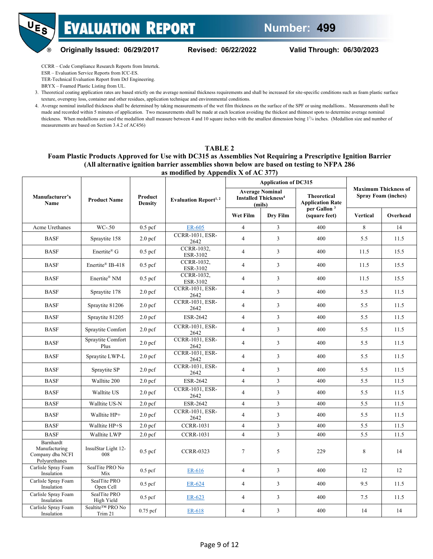

UE<sub>S</sub>



ESR – Evaluation Service Reports from ICC-ES. TER-Technical Evaluation Report from DrJ Engineering.

BRYX – Foamed Plastic Listing from UL.

3. Theoretical coating application rates are based strictly on the average nominal thickness requirements and shall be increased for site-specific conditions such as foam plastic surface texture, overspray loss, container and other residues, application technique and environmental conditions.

4. Average nominal installed thickness shall be determined by taking measurements of the wet film thickness on the surface of the SPF or using medallions.. Measurements shall be made and recorded within 5 minutes of application. Two measurements shall be made at each location avoiding the thickest and thinnest spots to determine average nominal thickness. When medallions are used the medallion shall measure between 4 and 10 square inches with the smallest dimension being  $1^{3}/4$  inches. (Medallion size and number of measurements are based on Section 3.4.2 of AC456)

#### <span id="page-8-0"></span>**TABLE 2 Foam Plastic Products Approved for Use with DC315 as Assemblies Not Requiring a Prescriptive Ignition Barrier (All alternative ignition barrier assemblies shown below are based on testing to NFPA 286 as modified by Appendix X of AC 377)**

|                                                                 | <b>Product Name</b>         |                           |                                   |                | <b>Application of DC315</b>                                                |                                               | <b>Maximum Thickness of</b><br><b>Spray Foam (inches)</b> |          |  |
|-----------------------------------------------------------------|-----------------------------|---------------------------|-----------------------------------|----------------|----------------------------------------------------------------------------|-----------------------------------------------|-----------------------------------------------------------|----------|--|
| Manufacturer's<br>Name                                          |                             | Product<br><b>Density</b> | Evaluation Report <sup>1, 2</sup> |                | <b>Average Nominal</b><br><b>Installed Thickness<sup>4</sup></b><br>(mils) | <b>Theoretical</b><br><b>Application Rate</b> |                                                           |          |  |
|                                                                 |                             |                           |                                   | Wet Film       | Dry Film                                                                   | per Gallon <sup>3</sup><br>(square feet)      | Vertical                                                  | Overhead |  |
| Acme Urethanes                                                  | $WC-50$                     | $0.5$ pcf                 | ER-605                            | 4              | 3                                                                          | 400                                           | 8                                                         | 14       |  |
| <b>BASF</b>                                                     | Spraytite 158               | 2.0 <sub>pcf</sub>        | <b>CCRR-1031, ESR-</b><br>2642    | $\overline{4}$ | $\overline{3}$                                                             | 400                                           | 5.5                                                       | 11.5     |  |
| <b>BASF</b>                                                     | Enertite <sup>®</sup> G     | $0.5$ pcf                 | CCRR-1032,<br>ESR-3102            | $\overline{4}$ | 3                                                                          | 400                                           | 11.5                                                      | 15.5     |  |
| <b>BASF</b>                                                     | Enertite® IB-418            | $0.5$ pcf                 | CCRR-1032,<br>ESR-3102            | $\overline{4}$ | $\mathfrak{Z}$                                                             | 400                                           | 11.5                                                      | 15.5     |  |
| <b>BASF</b>                                                     | Enertite® NM                | $0.5$ pcf                 | CCRR-1032,<br>ESR-3102            | $\overline{4}$ | $\mathfrak z$                                                              | 400                                           | 11.5                                                      | 15.5     |  |
| <b>BASF</b>                                                     | Spraytite 178               | 2.0 <sub>pcf</sub>        | <b>CCRR-1031, ESR-</b><br>2642    | $\overline{4}$ | 3                                                                          | 400                                           | 5.5                                                       | 11.5     |  |
| <b>BASF</b>                                                     | Spraytite 81206             | 2.0 <sub>pcf</sub>        | <b>CCRR-1031, ESR-</b><br>2642    | $\overline{4}$ | $\overline{3}$                                                             | 400                                           | 5.5                                                       | 11.5     |  |
| <b>BASF</b>                                                     | Spraytite 81205             | 2.0 <sub>pcf</sub>        | ESR-2642                          | $\overline{4}$ | $\overline{3}$                                                             | 400                                           | 5.5                                                       | 11.5     |  |
| <b>BASF</b>                                                     | Spraytite Comfort           | 2.0 <sub>pcf</sub>        | <b>CCRR-1031, ESR-</b><br>2642    | $\overline{4}$ | 3                                                                          | 400                                           | 5.5                                                       | 11.5     |  |
| <b>BASF</b>                                                     | Spraytite Comfort<br>Plus   | 2.0 <sub>pcf</sub>        | <b>CCRR-1031, ESR-</b><br>2642    | $\overline{4}$ | 3                                                                          | 400                                           | 5.5                                                       | 11.5     |  |
| <b>BASF</b>                                                     | Spraytite LWP-L             | 2.0 <sub>pcf</sub>        | <b>CCRR-1031, ESR-</b><br>2642    | $\overline{4}$ | $\mathfrak z$                                                              | 400                                           | 5.5                                                       | 11.5     |  |
| <b>BASF</b>                                                     | Spraytite SP                | 2.0 <sub>pcf</sub>        | <b>CCRR-1031, ESR-</b><br>2642    | $\overline{4}$ | $\overline{3}$                                                             | 400                                           | 5.5                                                       | 11.5     |  |
| <b>BASF</b>                                                     | Walltite 200                | 2.0 <sub>pcf</sub>        | ESR-2642                          | $\overline{4}$ | $\mathfrak{Z}$                                                             | 400                                           | 5.5                                                       | 11.5     |  |
| <b>BASF</b>                                                     | Walltite US                 | 2.0 <sub>pcf</sub>        | <b>CCRR-1031, ESR-</b><br>2642    | $\overline{4}$ | 3                                                                          | 400                                           | 5.5                                                       | 11.5     |  |
| <b>BASF</b>                                                     | Walltite US-N               | 2.0 <sub>pcf</sub>        | ESR-2642                          | $\overline{4}$ | $\overline{3}$                                                             | 400                                           | 5.5                                                       | 11.5     |  |
| <b>BASF</b>                                                     | Walltite HP+                | 2.0 <sub>pcf</sub>        | <b>CCRR-1031, ESR-</b><br>2642    | $\overline{4}$ | $\overline{3}$                                                             | 400                                           | 5.5                                                       | 11.5     |  |
| <b>BASF</b>                                                     | Walltite HP+S               | 2.0 <sub>pcf</sub>        | <b>CCRR-1031</b>                  | $\overline{4}$ | $\mathfrak{Z}$                                                             | 400                                           | 5.5                                                       | 11.5     |  |
| <b>BASF</b>                                                     | Walltite LWP                | 2.0 <sub>pcf</sub>        | <b>CCRR-1031</b>                  | $\overline{4}$ | 3                                                                          | 400                                           | 5.5                                                       | 11.5     |  |
| Barnhardt<br>Manufacturing<br>Company dba NCFI<br>Polyurethanes | InsulStar Light 12-<br>008  | $0.5$ pcf                 | <b>CCRR-0323</b>                  | 7              | 5                                                                          | 229                                           | 8                                                         | 14       |  |
| Carlisle Spray Foam<br>Insulation                               | SealTite PRO No<br>Mix      | $0.5$ pcf                 | ER-616                            | $\overline{4}$ | 3                                                                          | 400                                           | 12                                                        | 12       |  |
| Carlisle Spray Foam<br>Insulation                               | SealTite PRO<br>Open Cell   | $0.5$ pcf                 | ER-624                            | $\overline{4}$ | 3                                                                          | 400                                           | 9.5                                                       | 11.5     |  |
| Carlisle Spray Foam<br>Insulation                               | SealTite PRO<br>High Yield  | $0.5$ pcf                 | ER-623                            | $\overline{4}$ | 3                                                                          | 400                                           | 7.5                                                       | 11.5     |  |
| Carlisle Spray Foam<br>Insulation                               | Sealtite™ PRO No<br>Trim 21 | $0.75$ pcf                | ER-618                            | $\overline{4}$ | $\overline{3}$                                                             | 400                                           | 14                                                        | 14       |  |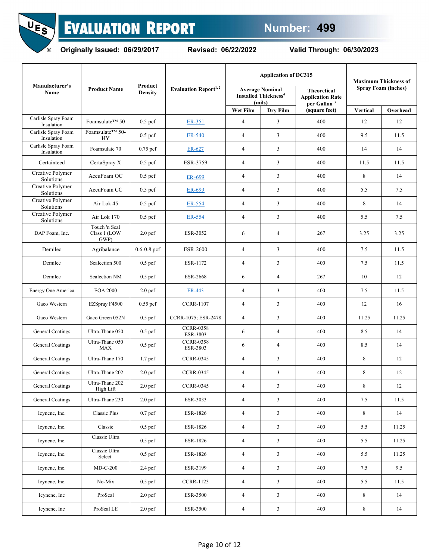

**Originally Issued: 06/29/2017 Revised: 06/22/2022 Valid Through: 06/30/2023**

|                                   |                                       |                           |                                   |                | <b>Application of DC315</b>                                                | <b>Maximum Thickness of</b>                                              |                 |                            |
|-----------------------------------|---------------------------------------|---------------------------|-----------------------------------|----------------|----------------------------------------------------------------------------|--------------------------------------------------------------------------|-----------------|----------------------------|
| Manufacturer's<br>Name            | <b>Product Name</b>                   | Product<br><b>Density</b> | Evaluation Report <sup>1, 2</sup> |                | <b>Average Nominal</b><br><b>Installed Thickness<sup>4</sup></b><br>(mils) | <b>Theoretical</b><br><b>Application Rate</b><br>per Gallon <sup>3</sup> |                 | <b>Spray Foam (inches)</b> |
|                                   |                                       |                           |                                   | Wet Film       | Dry Film                                                                   | (square feet)                                                            | <b>Vertical</b> | Overhead                   |
| Carlisle Spray Foam<br>Insulation | Foamsulate™ 50                        | $0.5$ pcf                 | ER-351                            | 4              | 3                                                                          | 400                                                                      | 12              | 12                         |
| Carlisle Spray Foam<br>Insulation | Foamsulate™ 50-<br>HY                 | $0.5$ pcf                 | ER-540                            | $\overline{4}$ | 3                                                                          | 400                                                                      | 9.5             | 11.5                       |
| Carlisle Spray Foam<br>Insulation | Foamsulate 70                         | $0.75$ pcf                | ER-627                            | $\overline{4}$ | 3                                                                          | 400                                                                      | 14              | 14                         |
| Certainteed                       | CertaSpray X                          | $0.5$ pcf                 | ESR-3759                          | $\overline{4}$ | 3                                                                          | 400                                                                      | 11.5            | 11.5                       |
| Creative Polymer<br>Solutions     | AccuFoam OC                           | $0.5$ pcf                 | ER-699                            | 4              | 3                                                                          | 400                                                                      | 8               | 14                         |
| Creative Polymer<br>Solutions     | AccuFoam CC                           | $0.5$ pcf                 | ER-699                            | $\overline{4}$ | 3                                                                          | 400                                                                      | 5.5             | 7.5                        |
| Creative Polymer<br>Solutions     | Air Lok 45                            | $0.5$ pcf                 | ER-554                            | $\overline{4}$ | 3                                                                          | 400                                                                      | 8               | 14                         |
| Creative Polymer<br>Solutions     | Air Lok 170                           | $0.5$ pcf                 | ER-554                            | $\overline{4}$ | 3                                                                          | 400                                                                      | 5.5             | 7.5                        |
| DAP Foam. Inc.                    | Touch 'n Seal<br>Class 1 (LOW<br>GWP) | 2.0 <sub>pcf</sub>        | ESR-3052                          | 6              | $\overline{4}$                                                             | 267                                                                      | 3.25            | 3.25                       |
| Demilec                           | Agribalance                           | $0.6 - 0.8$ pcf           | <b>ESR-2600</b>                   | 4              | 3                                                                          | 400                                                                      | 7.5             | 11.5                       |
| Demilec                           | Sealection 500                        | $0.5$ pcf                 | ESR-1172                          | $\overline{4}$ | 3                                                                          | 400                                                                      | 7.5             | 11.5                       |
| Demilec                           | Sealection NM                         | $0.5$ pcf                 | <b>ESR-2668</b>                   | 6              | $\overline{4}$                                                             | 267                                                                      | 10              | 12                         |
| Energy One America                | <b>EOA 2000</b>                       | 2.0 <sub>pcf</sub>        | ER-443                            | $\overline{4}$ | 3                                                                          | 400                                                                      | 7.5             | 11.5                       |
| Gaco Western                      | EZSpray F4500                         | $0.55$ pcf                | <b>CCRR-1107</b>                  | $\overline{4}$ | 3                                                                          | 400                                                                      | 12              | 16                         |
| Gaco Western                      | Gaco Green 052N                       | $0.5$ pcf                 | CCRR-1075; ESR-2478               | $\overline{4}$ | 3                                                                          | 400                                                                      | 11.25           | 11.25                      |
| General Coatings                  | Ultra-Thane 050                       | $0.5$ pcf                 | <b>CCRR-0358</b><br>ESR-3803      | 6              | $\overline{4}$                                                             | 400                                                                      | 8.5             | 14                         |
| General Coatings                  | Ultra-Thane 050<br><b>MAX</b>         | $0.5$ pcf                 | <b>CCRR-0358</b><br>ESR-3803      | 6              | $\overline{4}$                                                             | 400                                                                      | 8.5             | 14                         |
| General Coatings                  | Ultra-Thane 170                       | 1.7 <sub>pcf</sub>        | <b>CCRR-0345</b>                  | $\overline{4}$ | 3                                                                          | 400                                                                      | 8               | 12                         |
| General Coatings                  | Ultra-Thane 202                       | 2.0 <sub>pcf</sub>        | <b>CCRR-0345</b>                  | 4              | 3                                                                          | 400                                                                      | 8               | 12                         |
| General Coatings                  | Ultra-Thane 202<br>High Lift          | 2.0 <sub>pcf</sub>        | <b>CCRR-0345</b>                  | $\overline{4}$ | $\overline{3}$                                                             | 400                                                                      | 8               | 12                         |
| General Coatings                  | Ultra-Thane 230                       | 2.0 <sub>pcf</sub>        | ESR-3033                          | $\overline{4}$ | $\mathfrak{Z}$                                                             | 400                                                                      | 7.5             | 11.5                       |
| Icynene, Inc.                     | Classic Plus                          | $0.7$ pcf                 | ESR-1826                          | $\overline{4}$ | $\mathfrak{Z}$                                                             | 400                                                                      | 8               | 14                         |
| Icynene, Inc.                     | Classic                               | $0.5$ pcf                 | ESR-1826                          | $\overline{4}$ | $\mathfrak{Z}$                                                             | 400                                                                      | 5.5             | 11.25                      |
| Icynene, Inc.                     | Classic Ultra                         | $0.5$ pcf                 | ESR-1826                          | $\overline{4}$ | $\mathbf{3}$                                                               | 400                                                                      | 5.5             | 11.25                      |
| Icynene, Inc.                     | Classic Ultra<br>Select               | $0.5$ pcf                 | ESR-1826                          | $\overline{4}$ | $\mathfrak{Z}$                                                             | 400                                                                      | 5.5             | 11.25                      |
| Icynene, Inc.                     | $MD-C-200$                            | $2.4$ pcf                 | ESR-3199                          | $\overline{4}$ | $\mathfrak{Z}$                                                             | 400                                                                      | 7.5             | 9.5                        |
| Icynene, Inc.                     | No-Mix                                | $0.5$ pcf                 | <b>CCRR-1123</b>                  | $\overline{4}$ | $\mathbf{3}$                                                               | 400                                                                      | 5.5             | 11.5                       |
| Icynene, Inc                      | ProSeal                               | 2.0 <sub>pcf</sub>        | ESR-3500                          | $\overline{4}$ | $\mathfrak{Z}$                                                             | 400                                                                      | $\,8\,$         | 14                         |
| Icynene, Inc                      | ProSeal LE                            | 2.0 <sub>pcf</sub>        | ESR-3500                          | $\overline{4}$ | $\mathfrak{Z}$                                                             | 400                                                                      | $8\,$           | 14                         |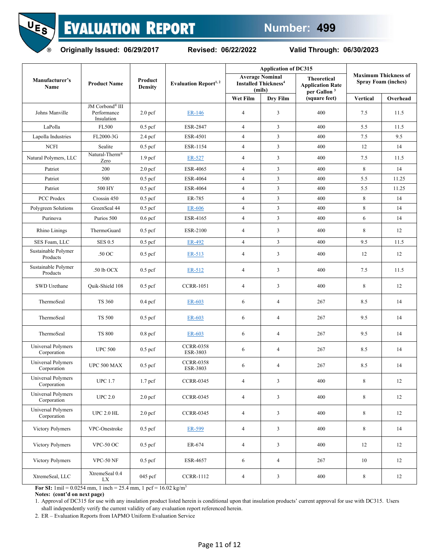UE<sub>S</sub>  $\circledR$ 

## **EVALUATION REPORT**

**Originally Issued: 06/29/2017 Revised: 06/22/2022 Valid Through: 06/30/2023**

|                                   |                                              |                           |                                         |                | <b>Application of DC315</b>                                                |                                                                          |          |                                                           |
|-----------------------------------|----------------------------------------------|---------------------------|-----------------------------------------|----------------|----------------------------------------------------------------------------|--------------------------------------------------------------------------|----------|-----------------------------------------------------------|
| Manufacturer's<br>Name            | <b>Product Name</b>                          | Product<br><b>Density</b> | <b>Evaluation Report</b> <sup>1,2</sup> |                | <b>Average Nominal</b><br><b>Installed Thickness<sup>4</sup></b><br>(mils) | <b>Theoretical</b><br><b>Application Rate</b><br>per Gallon <sup>3</sup> |          | <b>Maximum Thickness of</b><br><b>Spray Foam (inches)</b> |
|                                   |                                              |                           |                                         | Wet Film       | Dry Film                                                                   | (square feet)                                                            | Vertical | Overhead                                                  |
| Johns Manville                    | JM Corbond® III<br>Performance<br>Insulation | 2.0 <sub>pcf</sub>        | ER-146                                  | 4              | 3                                                                          | 400                                                                      | 7.5      | 11.5                                                      |
| LaPolla                           | FL500                                        | $0.5$ pcf                 | <b>ESR-2847</b>                         | $\overline{4}$ | 3                                                                          | 400                                                                      | 5.5      | 11.5                                                      |
| Lapolla Industries                | FL2000-3G                                    | $2.4$ pcf                 | ESR-4501                                | $\overline{4}$ | $\mathfrak{Z}$                                                             | 400                                                                      | 7.5      | 9.5                                                       |
| <b>NCFI</b>                       | Sealite                                      | $0.5$ pcf                 | ESR-1154                                | 4              | 3                                                                          | 400                                                                      | 12       | 14                                                        |
| Natural Polymers, LLC             | Natural-Therm <sup>®</sup><br>Zero           | 1.9 <sub>pcf</sub>        | ER-527                                  | 4              | $\mathfrak{Z}$                                                             | 400                                                                      | 7.5      | 11.5                                                      |
| Patriot                           | 200                                          | 2.0 <sub>pcf</sub>        | ESR-4065                                | 4              | $\overline{\mathbf{3}}$                                                    | 400                                                                      | 8        | 14                                                        |
| Patriot                           | 500                                          | $0.5$ pcf                 | <b>ESR-4064</b>                         | $\overline{4}$ | $\mathfrak{Z}$                                                             | 400                                                                      | 5.5      | 11.25                                                     |
| Patriot                           | 500 HY                                       | $0.5$ pcf                 | <b>ESR-4064</b>                         | $\overline{4}$ | $\overline{\mathbf{3}}$                                                    | 400                                                                      | 5.5      | 11.25                                                     |
| PCC Prodex                        | Crossin 450                                  | $0.5$ pcf                 | ER-785                                  | 4              | 3                                                                          | 400                                                                      | 8        | 14                                                        |
| Polygreen Solutions               | GreenSeal 44                                 | $0.5$ pcf                 | ER-606                                  | $\overline{4}$ | $\mathfrak{Z}$                                                             | 400                                                                      | 8        | 14                                                        |
| Purinova                          | Purios 500                                   | $0.6$ pcf                 | ESR-4165                                | $\overline{4}$ | $\overline{3}$                                                             | 400                                                                      | 6        | 14                                                        |
| Rhino Linings                     | ThermoGuard                                  | $0.5$ pcf                 | ESR-2100                                | 4              | 3                                                                          | 400                                                                      | 8        | 12                                                        |
| SES Foam, LLC                     | <b>SES 0.5</b>                               | $0.5$ pcf                 | ER-492                                  | $\overline{4}$ | $\overline{3}$                                                             | 400                                                                      | 9.5      | 11.5                                                      |
| Sustainable Polymer<br>Products   | .50 OC                                       | $0.5$ pcf                 | ER-513                                  | 4              | $\overline{\mathbf{3}}$                                                    | 400                                                                      | 12       | 12                                                        |
| Sustainable Polymer<br>Products   | .50 lb OCX                                   | $0.5$ pcf                 | ER-512                                  | 4              | 3                                                                          | 400                                                                      | 7.5      | 11.5                                                      |
| SWD Urethane                      | Quik-Shield 108                              | $0.5$ pcf                 | <b>CCRR-1051</b>                        | 4              | 3                                                                          | 400                                                                      | 8        | 12                                                        |
| ThermoSeal                        | <b>TS 360</b>                                | $0.4$ pcf                 | ER-603                                  | 6              | $\overline{4}$                                                             | 267                                                                      | 8.5      | 14                                                        |
| ThermoSeal                        | <b>TS 500</b>                                | $0.5$ pcf                 | ER-603                                  | 6              | $\overline{4}$                                                             | 267                                                                      | 9.5      | 14                                                        |
| ThermoSeal                        | <b>TS 800</b>                                | $0.8$ pcf                 | ER-603                                  | 6              | $\overline{4}$                                                             | 267                                                                      | 9.5      | 14                                                        |
| Universal Polymers<br>Corporation | <b>UPC 500</b>                               | $0.5$ pcf                 | <b>CCRR-0358</b><br>ESR-3803            | 6              | $\overline{4}$                                                             | 267                                                                      | 8.5      | 14                                                        |
| Universal Polymers<br>Corporation | UPC 500 MAX                                  | $0.5$ pcf                 | <b>CCRR-0358</b><br>ESR-3803            | 6              | $\overline{4}$                                                             | 267                                                                      | 8.5      | 14                                                        |
| Universal Polymers<br>Corporation | UPC $1.7\,$                                  | 1.7 <sub>pcf</sub>        | <b>CCRR-0345</b>                        |                | 3                                                                          | $400\,$                                                                  | 8        | $12\,$                                                    |
| Universal Polymers<br>Corporation | UPC $2.0$                                    | 2.0 <sub>pcf</sub>        | <b>CCRR-0345</b>                        | 4              | $\mathbf{3}$                                                               | 400                                                                      | 8        | 12                                                        |
| Universal Polymers<br>Corporation | UPC $2.0$ HL $\,$                            | 2.0 <sub>pcf</sub>        | <b>CCRR-0345</b>                        | 4              | 3                                                                          | 400                                                                      | 8        | 12                                                        |
| Victory Polymers                  | VPC-Onestroke                                | $0.5$ pcf                 | ER-599                                  | $\overline{4}$ | $\mathbf{3}$                                                               | 400                                                                      | 8        | 14                                                        |
| Victory Polymers                  | VPC-50 OC                                    | $0.5$ pcf                 | ER-674                                  | $\overline{4}$ | $\mathfrak{Z}$                                                             | 400                                                                      | 12       | 12                                                        |
| Victory Polymers                  | VPC-50 NF                                    | $0.5$ pcf                 | ESR-4657                                | 6              | $\overline{4}$                                                             | 267                                                                      | 10       | 12                                                        |
| XtremeSeal, LLC                   | XtremeSeal 0.4<br>LX                         | 045 pcf                   | <b>CCRR-1112</b>                        | $\overline{4}$ | 3                                                                          | 400                                                                      | 8        | 12                                                        |

**For SI:** 1mil =  $0.0254$  mm, 1 inch =  $25.4$  mm, 1 pcf =  $16.02$  kg/m<sup>3</sup>

**Notes: (cont'd on next page)**

1. Approval of DC315 for use with any insulation product listed herein is conditional upon that insulation products' current approval for use with DC315. Users shall independently verify the current validity of any evaluation report referenced herein.

2. ER – Evaluation Reports from IAPMO Uniform Evaluation Service